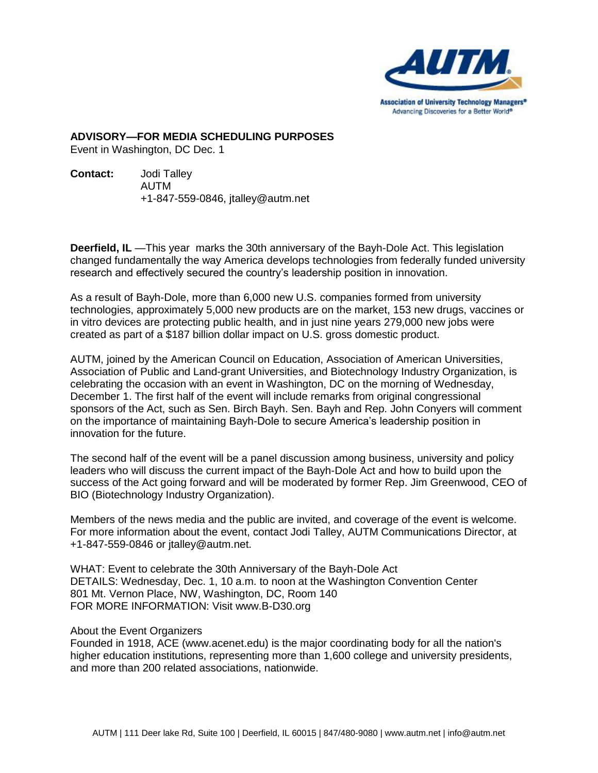

**ADVISORY—FOR MEDIA SCHEDULING PURPOSES**

Event in Washington, DC Dec. 1

**Contact:** Jodi Talley AUTM +1-847-559-0846, jtalley@autm.net

**Deerfield, IL** —This year marks the 30th anniversary of the Bayh-Dole Act. This legislation changed fundamentally the way America develops technologies from federally funded university research and effectively secured the country's leadership position in innovation.

As a result of Bayh-Dole, more than 6,000 new U.S. companies formed from university technologies, approximately 5,000 new products are on the market, 153 new drugs, vaccines or in vitro devices are protecting public health, and in just nine years 279,000 new jobs were created as part of a \$187 billion dollar impact on U.S. gross domestic product.

AUTM, joined by the American Council on Education, Association of American Universities, Association of Public and Land-grant Universities, and Biotechnology Industry Organization, is celebrating the occasion with an event in Washington, DC on the morning of Wednesday, December 1. The first half of the event will include remarks from original congressional sponsors of the Act, such as Sen. Birch Bayh. Sen. Bayh and Rep. John Conyers will comment on the importance of maintaining Bayh-Dole to secure America's leadership position in innovation for the future.

The second half of the event will be a panel discussion among business, university and policy leaders who will discuss the current impact of the Bayh-Dole Act and how to build upon the success of the Act going forward and will be moderated by former Rep. Jim Greenwood, CEO of BIO (Biotechnology Industry Organization).

Members of the news media and the public are invited, and coverage of the event is welcome. For more information about the event, contact Jodi Talley, AUTM Communications Director, at +1-847-559-0846 or jtalley@autm.net.

WHAT: Event to celebrate the 30th Anniversary of the Bayh-Dole Act DETAILS: Wednesday, Dec. 1, 10 a.m. to noon at the Washington Convention Center 801 Mt. Vernon Place, NW, Washington, DC, Room 140 FOR MORE INFORMATION: Visit www.B-D30.org

## About the Event Organizers

Founded in 1918, ACE (www.acenet.edu) is the major coordinating body for all the nation's higher education institutions, representing more than 1,600 college and university presidents, and more than 200 related associations, nationwide.